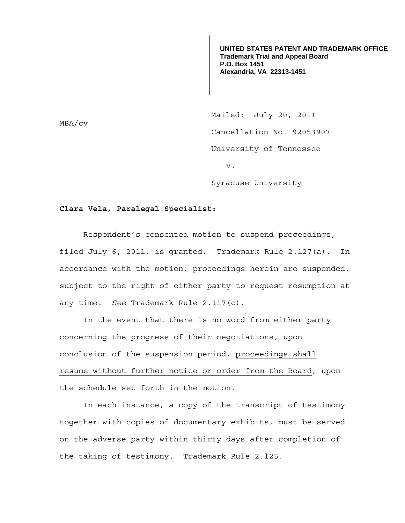**UNITED STATES PATENT AND TRADEMARK OFFICE Trademark Trial and Appeal Board P.O. Box 1451 Alexandria, VA 22313-1451**

Mailed: July 20, 2011 Cancellation No. 92053907 University of Tennessee v. Syracuse University

## **Clara Vela, Paralegal Specialist:**

Respondent's consented motion to suspend proceedings, filed July 6, 2011, is granted. Trademark Rule 2.127(a). In accordance with the motion, proceedings herein are suspended, subject to the right of either party to request resumption at any time. *See* Trademark Rule 2.117(c).

 In the event that there is no word from either party concerning the progress of their negotiations, upon conclusion of the suspension period, proceedings shall resume without further notice or order from the Board, upon the schedule set forth in the motion.

In each instance, a copy of the transcript of testimony together with copies of documentary exhibits, must be served on the adverse party within thirty days after completion of the taking of testimony. Trademark Rule 2.l25.

MBA/cv